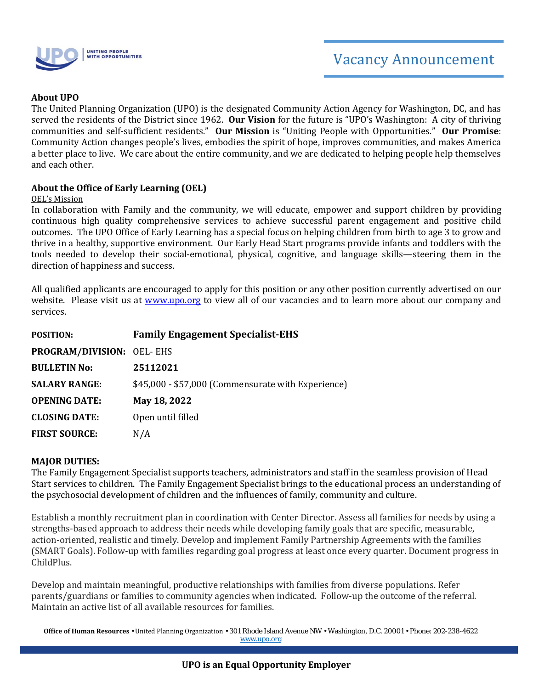

#### **About UPO**

The United Planning Organization (UPO) is the designated Community Action Agency for Washington, DC, and has served the residents of the District since 1962. **Our Vision** for the future is "UPO's Washington: A city of thriving communities and self-sufficient residents." **Our Mission** is "Uniting People with Opportunities." **Our Promise**: Community Action changes people's lives, embodies the spirit of hope, improves communities, and makes America a better place to live. We care about the entire community, and we are dedicated to helping people help themselves and each other.

#### **About the Office of Early Learning (OEL)**

#### OEL's Mission

In collaboration with Family and the community, we will educate, empower and support children by providing continuous high quality comprehensive services to achieve successful parent engagement and positive child outcomes. The UPO Office of Early Learning has a special focus on helping children from birth to age 3 to grow and thrive in a healthy, supportive environment. Our Early Head Start programs provide infants and toddlers with the tools needed to develop their social-emotional, physical, cognitive, and language skills—steering them in the direction of happiness and success.

All qualified applicants are encouraged to apply for this position or any other position currently advertised on our website. Please visit us at [www.upo.org](http://www.upo.org/) to view all of our vacancies and to learn more about our company and services.

| <b>POSITION:</b>          | <b>Family Engagement Specialist-EHS</b>            |
|---------------------------|----------------------------------------------------|
| PROGRAM/DIVISION: OEL-EHS |                                                    |
| <b>BULLETIN No:</b>       | 25112021                                           |
| <b>SALARY RANGE:</b>      | \$45,000 - \$57,000 (Commensurate with Experience) |
| <b>OPENING DATE:</b>      | May 18, 2022                                       |
| <b>CLOSING DATE:</b>      | Open until filled                                  |
| <b>FIRST SOURCE:</b>      | N/A                                                |

#### **MAJOR DUTIES:**

The Family Engagement Specialist supports teachers, administrators and staff in the seamless provision of Head Start services to children. The Family Engagement Specialist brings to the educational process an understanding of the psychosocial development of children and the influences of family, community and culture.

Establish a monthly recruitment plan in coordination with Center Director. Assess all families for needs by using a strengths-based approach to address their needs while developing family goals that are specific, measurable, action-oriented, realistic and timely. Develop and implement Family Partnership Agreements with the families (SMART Goals). Follow-up with families regarding goal progress at least once every quarter. Document progress in ChildPlus.

Develop and maintain meaningful, productive relationships with families from diverse populations. Refer parents/guardians or families to community agencies when indicated. Follow-up the outcome of the referral. Maintain an active list of all available resources for families.

**Office of Human Resources** • United Planning Organization • 301 Rhode Island Avenue NW • Washington, D.C. 20001 • Phone: 202-238-4622 [www.upo.org](http://www.upo.org/)